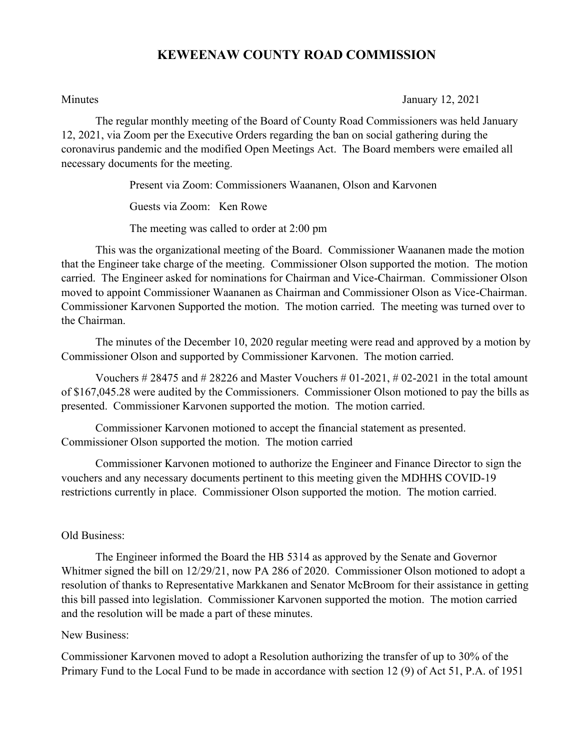# **KEWEENAW COUNTY ROAD COMMISSION**

Minutes January 12, 2021

The regular monthly meeting of the Board of County Road Commissioners was held January 12, 2021, via Zoom per the Executive Orders regarding the ban on social gathering during the coronavirus pandemic and the modified Open Meetings Act. The Board members were emailed all necessary documents for the meeting.

> Present via Zoom: Commissioners Waananen, Olson and Karvonen Guests via Zoom: Ken Rowe

The meeting was called to order at 2:00 pm

This was the organizational meeting of the Board. Commissioner Waananen made the motion that the Engineer take charge of the meeting. Commissioner Olson supported the motion. The motion carried. The Engineer asked for nominations for Chairman and Vice-Chairman. Commissioner Olson moved to appoint Commissioner Waananen as Chairman and Commissioner Olson as Vice-Chairman. Commissioner Karvonen Supported the motion. The motion carried. The meeting was turned over to the Chairman.

The minutes of the December 10, 2020 regular meeting were read and approved by a motion by Commissioner Olson and supported by Commissioner Karvonen. The motion carried.

Vouchers  $\# 28475$  and  $\# 28226$  and Master Vouchers  $\# 01-2021$ ,  $\# 02-2021$  in the total amount of \$167,045.28 were audited by the Commissioners. Commissioner Olson motioned to pay the bills as presented. Commissioner Karvonen supported the motion. The motion carried.

Commissioner Karvonen motioned to accept the financial statement as presented. Commissioner Olson supported the motion. The motion carried

Commissioner Karvonen motioned to authorize the Engineer and Finance Director to sign the vouchers and any necessary documents pertinent to this meeting given the MDHHS COVID-19 restrictions currently in place. Commissioner Olson supported the motion. The motion carried.

# Old Business:

The Engineer informed the Board the HB 5314 as approved by the Senate and Governor Whitmer signed the bill on 12/29/21, now PA 286 of 2020. Commissioner Olson motioned to adopt a resolution of thanks to Representative Markkanen and Senator McBroom for their assistance in getting this bill passed into legislation. Commissioner Karvonen supported the motion. The motion carried and the resolution will be made a part of these minutes.

### New Business:

Commissioner Karvonen moved to adopt a Resolution authorizing the transfer of up to 30% of the Primary Fund to the Local Fund to be made in accordance with section 12 (9) of Act 51, P.A. of 1951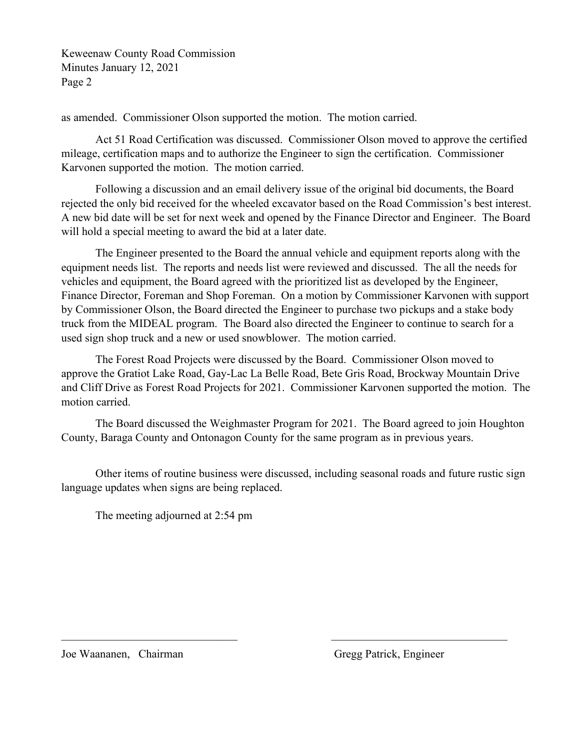Keweenaw County Road Commission Minutes January 12, 2021 Page 2

as amended. Commissioner Olson supported the motion. The motion carried.

Act 51 Road Certification was discussed. Commissioner Olson moved to approve the certified mileage, certification maps and to authorize the Engineer to sign the certification. Commissioner Karvonen supported the motion. The motion carried.

Following a discussion and an email delivery issue of the original bid documents, the Board rejected the only bid received for the wheeled excavator based on the Road Commission's best interest. A new bid date will be set for next week and opened by the Finance Director and Engineer. The Board will hold a special meeting to award the bid at a later date.

The Engineer presented to the Board the annual vehicle and equipment reports along with the equipment needs list. The reports and needs list were reviewed and discussed. The all the needs for vehicles and equipment, the Board agreed with the prioritized list as developed by the Engineer, Finance Director, Foreman and Shop Foreman. On a motion by Commissioner Karvonen with support by Commissioner Olson, the Board directed the Engineer to purchase two pickups and a stake body truck from the MIDEAL program. The Board also directed the Engineer to continue to search for a used sign shop truck and a new or used snowblower. The motion carried.

The Forest Road Projects were discussed by the Board. Commissioner Olson moved to approve the Gratiot Lake Road, Gay-Lac La Belle Road, Bete Gris Road, Brockway Mountain Drive and Cliff Drive as Forest Road Projects for 2021. Commissioner Karvonen supported the motion. The motion carried.

The Board discussed the Weighmaster Program for 2021. The Board agreed to join Houghton County, Baraga County and Ontonagon County for the same program as in previous years.

Other items of routine business were discussed, including seasonal roads and future rustic sign language updates when signs are being replaced.

The meeting adjourned at 2:54 pm

Joe Waananen, Chairman Gregg Patrick, Engineer